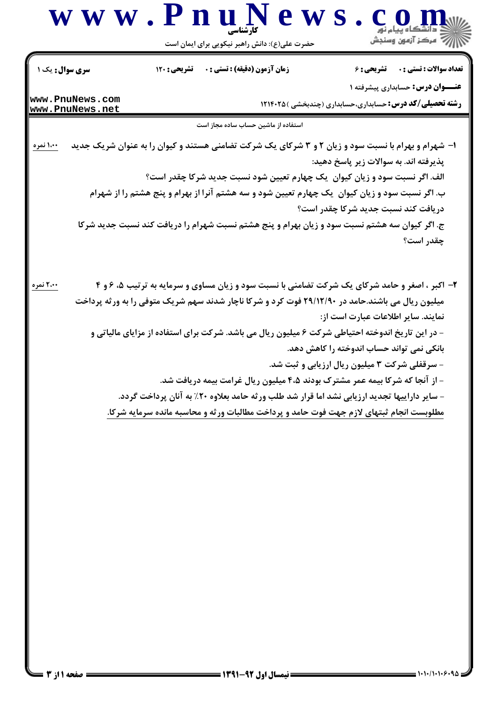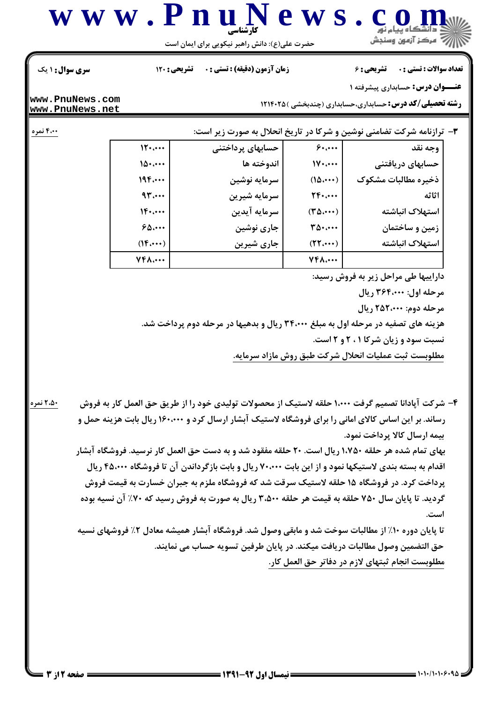